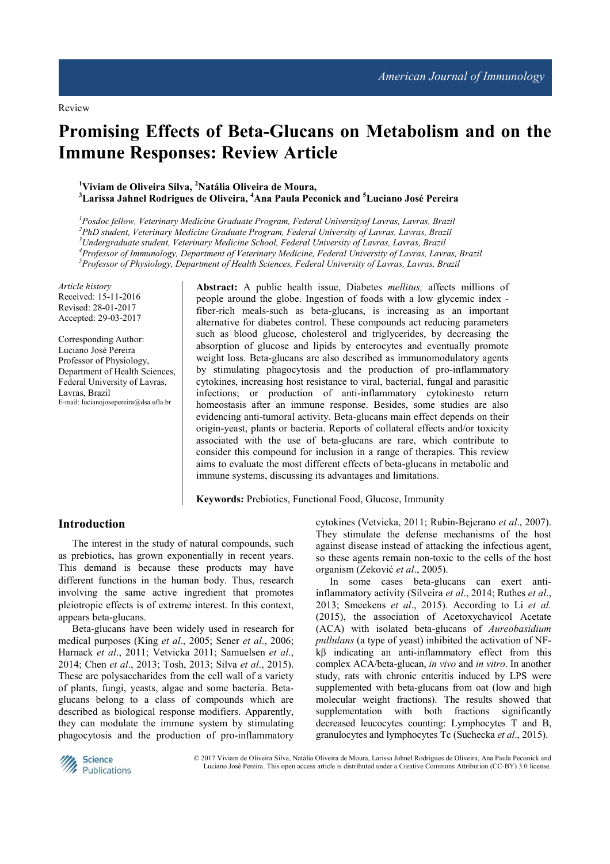# **Promising Effects of Beta-Glucans on Metabolism and on the Immune Responses: Review Article**

**<sup>1</sup>Viviam de Oliveira Silva, <sup>2</sup>Natália Oliveira de Moura, <sup>3</sup>Larissa Jahnel Rodrigues de Oliveira, <sup>4</sup>Ana Paula Peconick and <sup>5</sup>Luciano José Pereira** 

*Posdoc fellow, Veterinary Medicine Graduate Program, Federal Universityof Lavras, Lavras, Brazil PhD student, Veterinary Medicine Graduate Program, Federal University of Lavras, Lavras, Brazil Undergraduate student, Veterinary Medicine School, Federal University of Lavras, Lavras, Brazil Professor of Immunology, Department of Veterinary Medicine, Federal University of Lavras, Lavras, Brazil Professor of Physiology, Department of Health Sciences, Federal University of Lavras, Lavras, Brazil* 

*Article history*  Received: 15-11-2016 Revised: 28-01-2017 Accepted: 29-03-2017

Corresponding Author: Luciano José Pereira Professor of Physiology, Department of Health Sciences, Federal University of Lavras, Lavras, Brazil E-mail: lucianojosepereira@dsa.ufla.br

**Abstract:** A public health issue, Diabetes *mellitus,* affects millions of people around the globe. Ingestion of foods with a low glycemic index fiber-rich meals-such as beta-glucans, is increasing as an important alternative for diabetes control. These compounds act reducing parameters such as blood glucose, cholesterol and triglycerides, by decreasing the absorption of glucose and lipids by enterocytes and eventually promote weight loss. Beta-glucans are also described as immunomodulatory agents by stimulating phagocytosis and the production of pro-inflammatory cytokines, increasing host resistance to viral, bacterial, fungal and parasitic infections; or production of anti-inflammatory cytokinesto return homeostasis after an immune response. Besides, some studies are also evidencing anti-tumoral activity. Beta-glucans main effect depends on their origin-yeast, plants or bacteria. Reports of collateral effects and/or toxicity associated with the use of beta-glucans are rare, which contribute to consider this compound for inclusion in a range of therapies. This review aims to evaluate the most different effects of beta-glucans in metabolic and immune systems, discussing its advantages and limitations.

**Keywords:** Prebiotics, Functional Food, Glucose, Immunity

## **Introduction**

The interest in the study of natural compounds, such as prebiotics, has grown exponentially in recent years. This demand is because these products may have different functions in the human body. Thus, research involving the same active ingredient that promotes pleiotropic effects is of extreme interest. In this context, appears beta-glucans.

Beta-glucans have been widely used in research for medical purposes (King *et al*., 2005; Sener *et al*., 2006; Harnack *et al*., 2011; Vetvicka 2011; Samuelsen *et al*., 2014; Chen *et al*., 2013; Tosh, 2013; Silva *et al*., 2015). These are polysaccharides from the cell wall of a variety of plants, fungi, yeasts, algae and some bacteria. Betaglucans belong to a class of compounds which are described as biological response modifiers. Apparently, they can modulate the immune system by stimulating phagocytosis and the production of pro-inflammatory cytokines (Vetvicka, 2011; Rubin-Bejerano *et al*., 2007). They stimulate the defense mechanisms of the host against disease instead of attacking the infectious agent, so these agents remain non-toxic to the cells of the host organism (Zeković *et al*., 2005).

In some cases beta-glucans can exert antiinflammatory activity (Silveira *et al*., 2014; Ruthes *et al*., 2013; Smeekens *et al*., 2015). According to Li *et al.* (2015), the association of Acetoxychavicol Acetate (ACA) with isolated beta-glucans of *Aureobasidium pullulans* (a type of yeast) inhibited the activation of NFkβ indicating an anti-inflammatory effect from this complex ACA/beta-glucan, *in vivo* and *in vitro*. In another study, rats with chronic enteritis induced by LPS were supplemented with beta-glucans from oat (low and high molecular weight fractions). The results showed that supplementation with both fractions significantly decreased leucocytes counting: Lymphocytes T and B, granulocytes and lymphocytes Tc (Suchecka *et al*., 2015).



© 2017 Viviam de Oliveira Silva, Natália Oliveira de Moura, Larissa Jahnel Rodrigues de Oliveira, Ana Paula Peconick and Luciano José Pereira. This open access article is distributed under a Creative Commons Attribution (CC-BY) 3.0 license.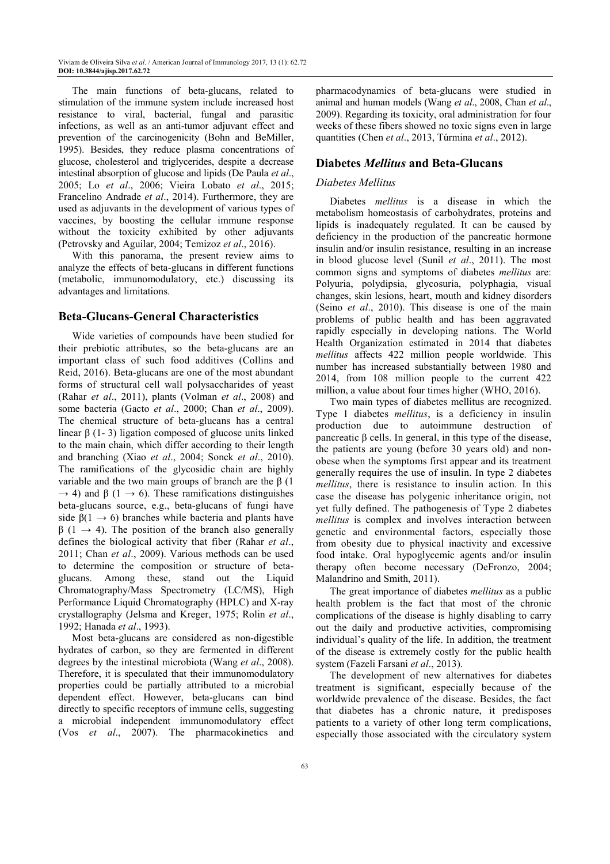The main functions of beta-glucans, related to stimulation of the immune system include increased host resistance to viral, bacterial, fungal and parasitic infections, as well as an anti-tumor adjuvant effect and prevention of the carcinogenicity (Bohn and BeMiller, 1995). Besides, they reduce plasma concentrations of glucose, cholesterol and triglycerides, despite a decrease intestinal absorption of glucose and lipids (De Paula *et al*., 2005; Lo *et al*., 2006; Vieira Lobato *et al*., 2015; Francelino Andrade *et al*., 2014). Furthermore, they are used as adjuvants in the development of various types of vaccines, by boosting the cellular immune response without the toxicity exhibited by other adjuvants (Petrovsky and Aguilar, 2004; Temizoz *et al*., 2016).

With this panorama, the present review aims to analyze the effects of beta-glucans in different functions (metabolic, immunomodulatory, etc.) discussing its advantages and limitations.

## **Beta-Glucans-General Characteristics**

Wide varieties of compounds have been studied for their prebiotic attributes, so the beta-glucans are an important class of such food additives (Collins and Reid, 2016). Beta-glucans are one of the most abundant forms of structural cell wall polysaccharides of yeast (Rahar *et al*., 2011), plants (Volman *et al*., 2008) and some bacteria (Gacto *et al*., 2000; Chan *et al*., 2009). The chemical structure of beta-glucans has a central linear β (1- 3) ligation composed of glucose units linked to the main chain, which differ according to their length and branching (Xiao *et al*., 2004; Sonck *et al*., 2010). The ramifications of the glycosidic chain are highly variable and the two main groups of branch are the β (1  $\rightarrow$  4) and  $\beta$  (1  $\rightarrow$  6). These ramifications distinguishes beta-glucans source, e.g., beta-glucans of fungi have side  $\beta(1 \rightarrow 6)$  branches while bacteria and plants have  $β$  (1  $\rightarrow$  4). The position of the branch also generally defines the biological activity that fiber (Rahar *et al*., 2011; Chan *et al*., 2009). Various methods can be used to determine the composition or structure of betaglucans. Among these, stand out the Liquid Chromatography/Mass Spectrometry (LC/MS), High Performance Liquid Chromatography (HPLC) and X-ray crystallography (Jelsma and Kreger, 1975; Rolin *et al*., 1992; Hanada *et al*., 1993).

Most beta-glucans are considered as non-digestible hydrates of carbon, so they are fermented in different degrees by the intestinal microbiota (Wang *et al*., 2008). Therefore, it is speculated that their immunomodulatory properties could be partially attributed to a microbial dependent effect. However, beta-glucans can bind directly to specific receptors of immune cells, suggesting a microbial independent immunomodulatory effect (Vos *et al*., 2007). The pharmacokinetics and pharmacodynamics of beta-glucans were studied in animal and human models (Wang *et al*., 2008, Chan *et al*., 2009). Regarding its toxicity, oral administration for four weeks of these fibers showed no toxic signs even in large quantities (Chen *et al*., 2013, Túrmina *et al*., 2012).

#### **Diabetes** *Mellitus* **and Beta-Glucans**

#### *Diabetes Mellitus*

Diabetes *mellitus* is a disease in which the metabolism homeostasis of carbohydrates, proteins and lipids is inadequately regulated. It can be caused by deficiency in the production of the pancreatic hormone insulin and/or insulin resistance, resulting in an increase in blood glucose level (Sunil *et al*., 2011). The most common signs and symptoms of diabetes *mellitus* are: Polyuria, polydipsia, glycosuria, polyphagia, visual changes, skin lesions, heart, mouth and kidney disorders (Seino *et al*., 2010). This disease is one of the main problems of public health and has been aggravated rapidly especially in developing nations. The World Health Organization estimated in 2014 that diabetes *mellitus* affects 422 million people worldwide. This number has increased substantially between 1980 and 2014, from 108 million people to the current 422 million, a value about four times higher (WHO, 2016).

Two main types of diabetes mellitus are recognized. Type 1 diabetes *mellitus*, is a deficiency in insulin production due to autoimmune destruction of pancreatic β cells. In general, in this type of the disease, the patients are young (before 30 years old) and nonobese when the symptoms first appear and its treatment generally requires the use of insulin. In type 2 diabetes *mellitus*, there is resistance to insulin action. In this case the disease has polygenic inheritance origin, not yet fully defined. The pathogenesis of Type 2 diabetes *mellitus* is complex and involves interaction between genetic and environmental factors, especially those from obesity due to physical inactivity and excessive food intake. Oral hypoglycemic agents and/or insulin therapy often become necessary (DeFronzo, 2004; Malandrino and Smith, 2011).

The great importance of diabetes *mellitus* as a public health problem is the fact that most of the chronic complications of the disease is highly disabling to carry out the daily and productive activities, compromising individual's quality of the life. In addition, the treatment of the disease is extremely costly for the public health system (Fazeli Farsani *et al*., 2013).

The development of new alternatives for diabetes treatment is significant, especially because of the worldwide prevalence of the disease. Besides, the fact that diabetes has a chronic nature, it predisposes patients to a variety of other long term complications, especially those associated with the circulatory system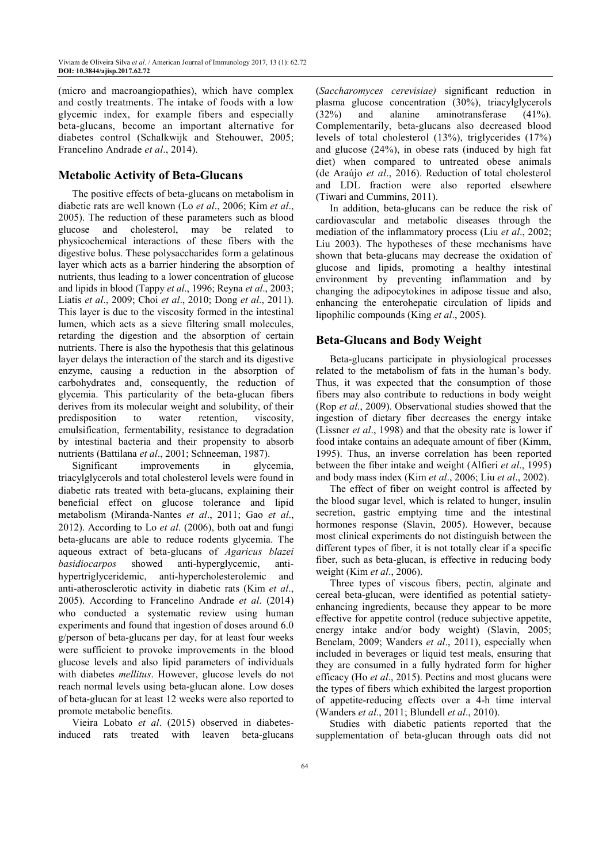(micro and macroangiopathies), which have complex and costly treatments. The intake of foods with a low glycemic index, for example fibers and especially beta-glucans, become an important alternative for diabetes control (Schalkwijk and Stehouwer, 2005; Francelino Andrade *et al*., 2014).

## **Metabolic Activity of Beta-Glucans**

The positive effects of beta-glucans on metabolism in diabetic rats are well known (Lo *et al*., 2006; Kim *et al*., 2005). The reduction of these parameters such as blood glucose and cholesterol, may be related to physicochemical interactions of these fibers with the digestive bolus. These polysaccharides form a gelatinous layer which acts as a barrier hindering the absorption of nutrients, thus leading to a lower concentration of glucose and lipids in blood (Tappy *et al*., 1996; Reyna *et al*., 2003; Liatis *et al*., 2009; Choi *et al*., 2010; Dong *et al*., 2011). This layer is due to the viscosity formed in the intestinal lumen, which acts as a sieve filtering small molecules, retarding the digestion and the absorption of certain nutrients. There is also the hypothesis that this gelatinous layer delays the interaction of the starch and its digestive enzyme, causing a reduction in the absorption of carbohydrates and, consequently, the reduction of glycemia. This particularity of the beta-glucan fibers derives from its molecular weight and solubility, of their predisposition to water retention, viscosity, emulsification, fermentability, resistance to degradation by intestinal bacteria and their propensity to absorb nutrients (Battilana *et al*., 2001; Schneeman, 1987).

Significant improvements in glycemia, triacylglycerols and total cholesterol levels were found in diabetic rats treated with beta-glucans, explaining their beneficial effect on glucose tolerance and lipid metabolism (Miranda-Nantes *et al*., 2011; Gao *et al*., 2012). According to Lo *et al*. (2006), both oat and fungi beta-glucans are able to reduce rodents glycemia. The aqueous extract of beta-glucans of *Agaricus blazei basidiocarpos* showed anti-hyperglycemic, antihypertriglyceridemic, anti-hypercholesterolemic and anti-atherosclerotic activity in diabetic rats (Kim *et al*., 2005). According to Francelino Andrade *et al*. (2014) who conducted a systematic review using human experiments and found that ingestion of doses around 6.0 g/person of beta-glucans per day, for at least four weeks were sufficient to provoke improvements in the blood glucose levels and also lipid parameters of individuals with diabetes *mellitus*. However, glucose levels do not reach normal levels using beta-glucan alone. Low doses of beta-glucan for at least 12 weeks were also reported to promote metabolic benefits.

Vieira Lobato *et al*. (2015) observed in diabetesinduced rats treated with leaven beta-glucans (*Saccharomyces cerevisiae)* significant reduction in plasma glucose concentration (30%), triacylglycerols (32%) and alanine aminotransferase (41%). Complementarily, beta-glucans also decreased blood levels of total cholesterol (13%), triglycerides (17%) and glucose (24%), in obese rats (induced by high fat diet) when compared to untreated obese animals (de Araújo *et al*., 2016). Reduction of total cholesterol and LDL fraction were also reported elsewhere (Tiwari and Cummins, 2011).

In addition, beta-glucans can be reduce the risk of cardiovascular and metabolic diseases through the mediation of the inflammatory process (Liu *et al*., 2002; Liu 2003). The hypotheses of these mechanisms have shown that beta-glucans may decrease the oxidation of glucose and lipids, promoting a healthy intestinal environment by preventing inflammation and by changing the adipocytokines in adipose tissue and also, enhancing the enterohepatic circulation of lipids and lipophilic compounds (King *et al*., 2005).

## **Beta-Glucans and Body Weight**

Beta-glucans participate in physiological processes related to the metabolism of fats in the human's body. Thus, it was expected that the consumption of those fibers may also contribute to reductions in body weight (Rop *et al*., 2009). Observational studies showed that the ingestion of dietary fiber decreases the energy intake (Lissner *et al*., 1998) and that the obesity rate is lower if food intake contains an adequate amount of fiber (Kimm, 1995). Thus, an inverse correlation has been reported between the fiber intake and weight (Alfieri *et al*., 1995) and body mass index (Kim *et al*., 2006; Liu *et al*., 2002).

The effect of fiber on weight control is affected by the blood sugar level, which is related to hunger, insulin secretion, gastric emptying time and the intestinal hormones response (Slavin, 2005). However, because most clinical experiments do not distinguish between the different types of fiber, it is not totally clear if a specific fiber, such as beta-glucan, is effective in reducing body weight (Kim *et al*., 2006).

Three types of viscous fibers, pectin, alginate and cereal beta-glucan, were identified as potential satietyenhancing ingredients, because they appear to be more effective for appetite control (reduce subjective appetite, energy intake and/or body weight) (Slavin, 2005; Benelam, 2009; Wanders *et al*., 2011), especially when included in beverages or liquid test meals, ensuring that they are consumed in a fully hydrated form for higher efficacy (Ho *et al*., 2015). Pectins and most glucans were the types of fibers which exhibited the largest proportion of appetite-reducing effects over a 4-h time interval (Wanders *et al*., 2011; Blundell *et al*., 2010).

Studies with diabetic patients reported that the supplementation of beta-glucan through oats did not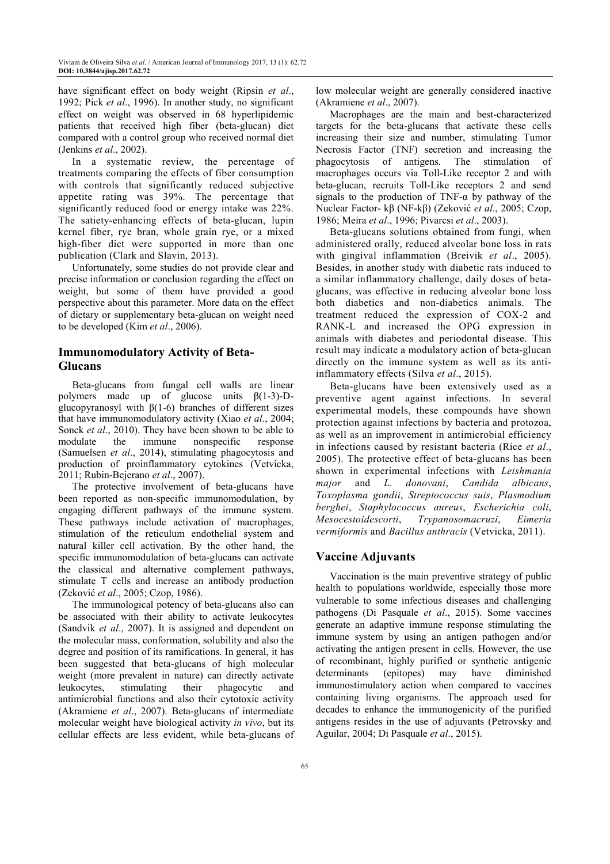have significant effect on body weight (Ripsin *et al*., 1992; Pick *et al*., 1996). In another study, no significant effect on weight was observed in 68 hyperlipidemic patients that received high fiber (beta-glucan) diet compared with a control group who received normal diet (Jenkins *et al*., 2002).

In a systematic review, the percentage of treatments comparing the effects of fiber consumption with controls that significantly reduced subjective appetite rating was 39%. The percentage that significantly reduced food or energy intake was 22%. The satiety-enhancing effects of beta-glucan, lupin kernel fiber, rye bran, whole grain rye, or a mixed high-fiber diet were supported in more than one publication (Clark and Slavin, 2013).

Unfortunately, some studies do not provide clear and precise information or conclusion regarding the effect on weight, but some of them have provided a good perspective about this parameter. More data on the effect of dietary or supplementary beta-glucan on weight need to be developed (Kim *et al*., 2006).

## **Immunomodulatory Activity of Beta-Glucans**

Beta-glucans from fungal cell walls are linear polymers made up of glucose units β(1-3)-Dglucopyranosyl with  $β(1-6)$  branches of different sizes that have immunomodulatory activity (Xiao *et al*., 2004; Sonck *et al*., 2010). They have been shown to be able to modulate the immune nonspecific response (Samuelsen *et al*., 2014), stimulating phagocytosis and production of proinflammatory cytokines (Vetvicka, 2011; Rubin-Bejerano *et al*., 2007).

The protective involvement of beta-glucans have been reported as non-specific immunomodulation, by engaging different pathways of the immune system. These pathways include activation of macrophages, stimulation of the reticulum endothelial system and natural killer cell activation. By the other hand, the specific immunomodulation of beta-glucans can activate the classical and alternative complement pathways, stimulate T cells and increase an antibody production (Zeković *et al*., 2005; Czop, 1986).

The immunological potency of beta-glucans also can be associated with their ability to activate leukocytes (Sandvik *et al*., 2007). It is assigned and dependent on the molecular mass, conformation, solubility and also the degree and position of its ramifications. In general, it has been suggested that beta-glucans of high molecular weight (more prevalent in nature) can directly activate leukocytes, stimulating their phagocytic and antimicrobial functions and also their cytotoxic activity (Akramiene *et al*., 2007). Beta-glucans of intermediate molecular weight have biological activity *in vivo*, but its cellular effects are less evident, while beta-glucans of low molecular weight are generally considered inactive (Akramiene *et al*., 2007).

Macrophages are the main and best-characterized targets for the beta-glucans that activate these cells increasing their size and number, stimulating Tumor Necrosis Factor (TNF) secretion and increasing the phagocytosis of antigens. The stimulation of macrophages occurs via Toll-Like receptor 2 and with beta-glucan, recruits Toll-Like receptors 2 and send signals to the production of TNF- $\alpha$  by pathway of the Nuclear Factor- kβ (NF-kβ) (Zeković *et al*., 2005; Czop, 1986; Meira *et al*., 1996; Pivarcsi *et al*., 2003).

Beta-glucans solutions obtained from fungi, when administered orally, reduced alveolar bone loss in rats with gingival inflammation (Breivik *et al*., 2005). Besides, in another study with diabetic rats induced to a similar inflammatory challenge, daily doses of betaglucans, was effective in reducing alveolar bone loss both diabetics and non-diabetics animals. The treatment reduced the expression of COX-2 and RANK-L and increased the OPG expression in animals with diabetes and periodontal disease. This result may indicate a modulatory action of beta-glucan directly on the immune system as well as its antiinflammatory effects (Silva *et al*., 2015).

Beta-glucans have been extensively used as a preventive agent against infections. In several experimental models, these compounds have shown protection against infections by bacteria and protozoa, as well as an improvement in antimicrobial efficiency in infections caused by resistant bacteria (Rice *et al*., 2005). The protective effect of beta-glucans has been shown in experimental infections with *Leishmania major* and *L. donovani*, *Candida albicans*, *Toxoplasma gondii*, *Streptococcus suis*, *Plasmodium berghei*, *Staphylococcus aureus*, *Escherichia coli*, *Mesocestoidescorti*, *Trypanosomacruzi*, *Eimeria vermiformis* and *Bacillus anthracis* (Vetvicka, 2011).

## **Vaccine Adjuvants**

Vaccination is the main preventive strategy of public health to populations worldwide, especially those more vulnerable to some infectious diseases and challenging pathogens (Di Pasquale *et al*., 2015). Some vaccines generate an adaptive immune response stimulating the immune system by using an antigen pathogen and/or activating the antigen present in cells. However, the use of recombinant, highly purified or synthetic antigenic determinants (epitopes) may have diminished immunostimulatory action when compared to vaccines containing living organisms. The approach used for decades to enhance the immunogenicity of the purified antigens resides in the use of adjuvants (Petrovsky and Aguilar, 2004; Di Pasquale *et al*., 2015).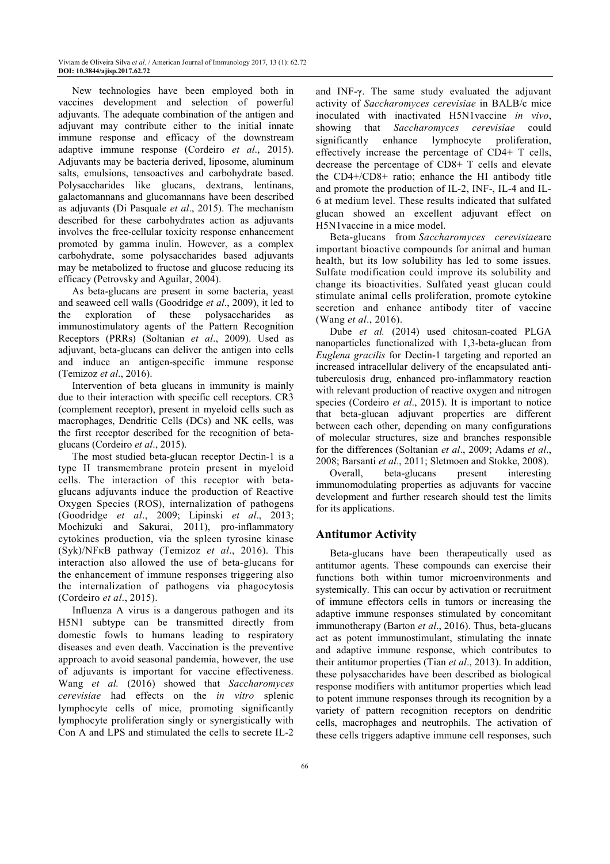New technologies have been employed both in vaccines development and selection of powerful adjuvants. The adequate combination of the antigen and adjuvant may contribute either to the initial innate immune response and efficacy of the downstream adaptive immune response (Cordeiro *et al*., 2015). Adjuvants may be bacteria derived, liposome, aluminum salts, emulsions, tensoactives and carbohydrate based. Polysaccharides like glucans, dextrans, lentinans, galactomannans and glucomannans have been described as adjuvants (Di Pasquale *et al*., 2015). The mechanism described for these carbohydrates action as adjuvants involves the free-cellular toxicity response enhancement promoted by gamma inulin. However, as a complex carbohydrate, some polysaccharides based adjuvants may be metabolized to fructose and glucose reducing its efficacy (Petrovsky and Aguilar, 2004).

As beta-glucans are present in some bacteria, yeast and seaweed cell walls (Goodridge *et al*., 2009), it led to the exploration of these polysaccharides as immunostimulatory agents of the Pattern Recognition Receptors (PRRs) (Soltanian *et al*., 2009). Used as adjuvant, beta-glucans can deliver the antigen into cells and induce an antigen-specific immune response (Temizoz *et al*., 2016).

Intervention of beta glucans in immunity is mainly due to their interaction with specific cell receptors. CR3 (complement receptor), present in myeloid cells such as macrophages, Dendritic Cells (DCs) and NK cells, was the first receptor described for the recognition of betaglucans (Cordeiro *et al*., 2015).

The most studied beta-glucan receptor Dectin-1 is a type II transmembrane protein present in myeloid cells. The interaction of this receptor with betaglucans adjuvants induce the production of Reactive Oxygen Species (ROS), internalization of pathogens (Goodridge *et al*., 2009; Lipinski *et al*., 2013; Mochizuki and Sakurai, 2011), pro-inflammatory cytokines production, via the spleen tyrosine kinase (Syk)/NFκB pathway (Temizoz *et al*., 2016). This interaction also allowed the use of beta-glucans for the enhancement of immune responses triggering also the internalization of pathogens via phagocytosis (Cordeiro *et al*., 2015).

Influenza A virus is a dangerous pathogen and its H5N1 subtype can be transmitted directly from domestic fowls to humans leading to respiratory diseases and even death. Vaccination is the preventive approach to avoid seasonal pandemia, however, the use of adjuvants is important for vaccine effectiveness. Wang *et al.* (2016) showed that *Saccharomyces cerevisiae* had effects on the *in vitro* splenic lymphocyte cells of mice, promoting significantly lymphocyte proliferation singly or synergistically with Con A and LPS and stimulated the cells to secrete IL-2

and INF-γ. The same study evaluated the adjuvant activity of *Saccharomyces cerevisiae* in BALB/c mice inoculated with inactivated H5N1vaccine *in vivo*, showing that *Saccharomyces cerevisiae* could significantly enhance lymphocyte proliferation, effectively increase the percentage of CD4+ T cells, decrease the percentage of CD8+ T cells and elevate the CD4+/CD8+ ratio; enhance the HI antibody title and promote the production of IL-2, INF-, IL-4 and IL-6 at medium level. These results indicated that sulfated glucan showed an excellent adjuvant effect on H5N1vaccine in a mice model.

Beta-glucans from *Saccharomyces cerevisiae*are important bioactive compounds for animal and human health, but its low solubility has led to some issues. Sulfate modification could improve its solubility and change its bioactivities. Sulfated yeast glucan could stimulate animal cells proliferation, promote cytokine secretion and enhance antibody titer of vaccine (Wang *et al*., 2016).

Dube *et al.* (2014) used chitosan-coated PLGA nanoparticles functionalized with 1,3-beta-glucan from *Euglena gracilis* for Dectin-1 targeting and reported an increased intracellular delivery of the encapsulated antituberculosis drug, enhanced pro-inflammatory reaction with relevant production of reactive oxygen and nitrogen species (Cordeiro *et al*., 2015). It is important to notice that beta-glucan adjuvant properties are different between each other, depending on many configurations of molecular structures, size and branches responsible for the differences (Soltanian *et al*., 2009; Adams *et al*., 2008; Barsanti *et al*., 2011; Sletmoen and Stokke, 2008).

Overall, beta-glucans present interesting immunomodulating properties as adjuvants for vaccine development and further research should test the limits for its applications.

## **Antitumor Activity**

Beta-glucans have been therapeutically used as antitumor agents. These compounds can exercise their functions both within tumor microenvironments and systemically. This can occur by activation or recruitment of immune effectors cells in tumors or increasing the adaptive immune responses stimulated by concomitant immunotherapy (Barton *et al*., 2016). Thus, beta-glucans act as potent immunostimulant, stimulating the innate and adaptive immune response, which contributes to their antitumor properties (Tian *et al*., 2013). In addition, these polysaccharides have been described as biological response modifiers with antitumor properties which lead to potent immune responses through its recognition by a variety of pattern recognition receptors on dendritic cells, macrophages and neutrophils. The activation of these cells triggers adaptive immune cell responses, such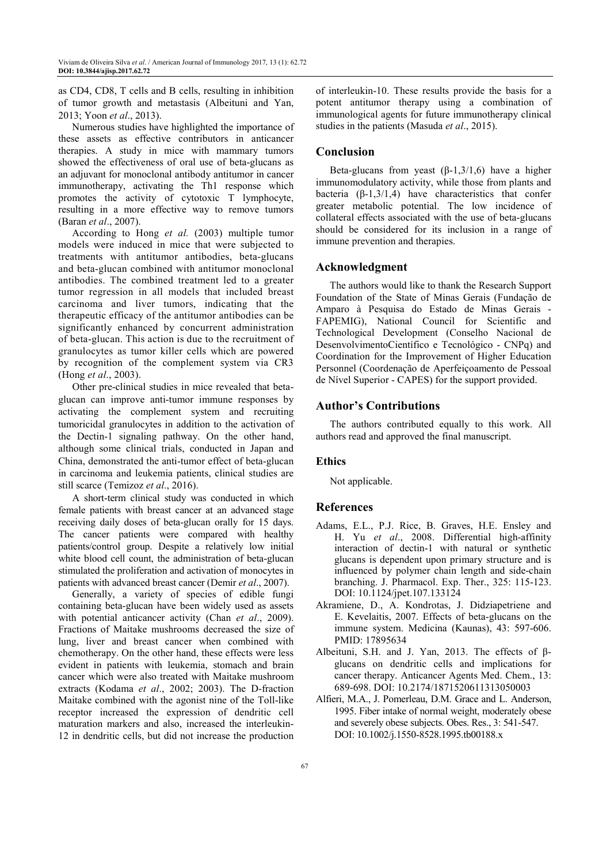as CD4, CD8, T cells and B cells, resulting in inhibition of tumor growth and metastasis (Albeituni and Yan, 2013; Yoon *et al*., 2013).

Numerous studies have highlighted the importance of these assets as effective contributors in anticancer therapies. A study in mice with mammary tumors showed the effectiveness of oral use of beta-glucans as an adjuvant for monoclonal antibody antitumor in cancer immunotherapy, activating the Th1 response which promotes the activity of cytotoxic T lymphocyte, resulting in a more effective way to remove tumors (Baran *et al*., 2007).

According to Hong *et al.* (2003) multiple tumor models were induced in mice that were subjected to treatments with antitumor antibodies, beta-glucans and beta-glucan combined with antitumor monoclonal antibodies. The combined treatment led to a greater tumor regression in all models that included breast carcinoma and liver tumors, indicating that the therapeutic efficacy of the antitumor antibodies can be significantly enhanced by concurrent administration of beta-glucan. This action is due to the recruitment of granulocytes as tumor killer cells which are powered by recognition of the complement system via CR3 (Hong *et al*., 2003).

Other pre-clinical studies in mice revealed that betaglucan can improve anti-tumor immune responses by activating the complement system and recruiting tumoricidal granulocytes in addition to the activation of the Dectin-1 signaling pathway. On the other hand, although some clinical trials, conducted in Japan and China, demonstrated the anti-tumor effect of beta-glucan in carcinoma and leukemia patients, clinical studies are still scarce (Temizoz *et al*., 2016).

A short-term clinical study was conducted in which female patients with breast cancer at an advanced stage receiving daily doses of beta-glucan orally for 15 days. The cancer patients were compared with healthy patients/control group. Despite a relatively low initial white blood cell count, the administration of beta-glucan stimulated the proliferation and activation of monocytes in patients with advanced breast cancer (Demir *et al*., 2007).

Generally, a variety of species of edible fungi containing beta-glucan have been widely used as assets with potential anticancer activity (Chan *et al*., 2009). Fractions of Maitake mushrooms decreased the size of lung, liver and breast cancer when combined with chemotherapy. On the other hand, these effects were less evident in patients with leukemia, stomach and brain cancer which were also treated with Maitake mushroom extracts (Kodama *et al*., 2002; 2003). The D-fraction Maitake combined with the agonist nine of the Toll-like receptor increased the expression of dendritic cell maturation markers and also, increased the interleukin-12 in dendritic cells, but did not increase the production

of interleukin-10. These results provide the basis for a potent antitumor therapy using a combination of immunological agents for future immunotherapy clinical studies in the patients (Masuda *et al*., 2015).

## **Conclusion**

Beta-glucans from yeast  $(\beta-1,3/1,6)$  have a higher immunomodulatory activity, while those from plants and bacteria  $(\beta-1,3/1,4)$  have characteristics that confer greater metabolic potential. The low incidence of collateral effects associated with the use of beta-glucans should be considered for its inclusion in a range of immune prevention and therapies.

## **Acknowledgment**

The authors would like to thank the Research Support Foundation of the State of Minas Gerais (Fundação de Amparo à Pesquisa do Estado de Minas Gerais - FAPEMIG), National Council for Scientific and Technological Development (Conselho Nacional de DesenvolvimentoCientífico e Tecnológico - CNPq) and Coordination for the Improvement of Higher Education Personnel (Coordenação de Aperfeiçoamento de Pessoal de Nível Superior - CAPES) for the support provided.

## **Author's Contributions**

The authors contributed equally to this work. All authors read and approved the final manuscript.

## **Ethics**

Not applicable.

## **References**

- Adams, E.L., P.J. Rice, B. Graves, H.E. Ensley and H. Yu *et al*., 2008. Differential high-affinity interaction of dectin-1 with natural or synthetic glucans is dependent upon primary structure and is influenced by polymer chain length and side-chain branching. J. Pharmacol. Exp. Ther., 325: 115-123. DOI: 10.1124/jpet.107.133124
- Akramiene, D., A. Kondrotas, J. Didziapetriene and E. Kevelaitis, 2007. Effects of beta-glucans on the immune system. Medicina (Kaunas), 43: 597-606. PMID: 17895634
- Albeituni, S.H. and J. Yan, 2013. The effects of βglucans on dendritic cells and implications for cancer therapy. Anticancer Agents Med. Chem., 13: 689-698. DOI: 10.2174/1871520611313050003
- Alfieri, M.A., J. Pomerleau, D.M. Grace and L. Anderson, 1995. Fiber intake of normal weight, moderately obese and severely obese subjects. Obes. Res., 3: 541-547. DOI: 10.1002/j.1550-8528.1995.tb00188.x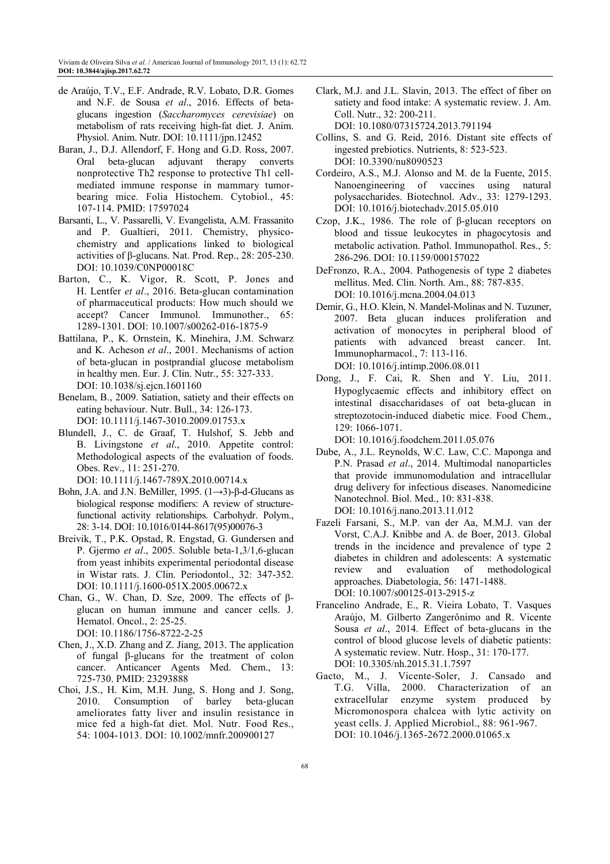- de Araújo, T.V., E.F. Andrade, R.V. Lobato, D.R. Gomes and N.F. de Sousa *et al*., 2016. Effects of betaglucans ingestion (*Saccharomyces cerevisiae*) on metabolism of rats receiving high-fat diet. J. Anim. Physiol. Anim. Nutr. DOI: 10.1111/jpn.12452
- Baran, J., D.J. Allendorf, F. Hong and G.D. Ross, 2007. Oral beta-glucan adjuvant therapy converts nonprotective Th2 response to protective Th1 cellmediated immune response in mammary tumorbearing mice. Folia Histochem. Cytobiol., 45: 107-114. PMID: 17597024
- Barsanti, L., V. Passarelli, V. Evangelista, A.M. Frassanito and P. Gualtieri, 2011. Chemistry, physicochemistry and applications linked to biological activities of β-glucans. Nat. Prod. Rep., 28: 205-230. DOI: 10.1039/C0NP00018C
- Barton, C., K. Vigor, R. Scott, P. Jones and H. Lentfer *et al*., 2016. Beta-glucan contamination of pharmaceutical products: How much should we accept? Cancer Immunol. Immunother., 65: 1289-1301. DOI: 10.1007/s00262-016-1875-9
- Battilana, P., K. Ornstein, K. Minehira, J.M. Schwarz and K. Acheson *et al*., 2001. Mechanisms of action of beta-glucan in postprandial glucose metabolism in healthy men. Eur. J. Clin. Nutr., 55: 327-333. DOI: 10.1038/sj.ejcn.1601160
- Benelam, B., 2009. Satiation, satiety and their effects on eating behaviour. Nutr. Bull., 34: 126-173. DOI: 10.1111/j.1467-3010.2009.01753.x
- Blundell, J., C. de Graaf, T. Hulshof, S. Jebb and B. Livingstone *et al*., 2010. Appetite control: Methodological aspects of the evaluation of foods. Obes. Rev., 11: 251-270.

DOI: 10.1111/j.1467-789X.2010.00714.x

- Bohn, J.A. and J.N. BeMiller, 1995.  $(1\rightarrow 3)$ -β-d-Glucans as biological response modifiers: A review of structurefunctional activity relationships. Carbohydr. Polym., 28: 3-14. DOI: 10.1016/0144-8617(95)00076-3
- Breivik, T., P.K. Opstad, R. Engstad, G. Gundersen and P. Gjermo *et al*., 2005. Soluble beta-1,3/1,6-glucan from yeast inhibits experimental periodontal disease in Wistar rats. J. Clin. Periodontol., 32: 347-352. DOI: 10.1111/j.1600-051X.2005.00672.x
- Chan, G., W. Chan, D. Sze, 2009. The effects of  $β$ glucan on human immune and cancer cells. J. Hematol. Oncol., 2: 25-25. DOI: 10.1186/1756-8722-2-25
- Chen, J., X.D. Zhang and Z. Jiang, 2013. The application of fungal β-glucans for the treatment of colon cancer. Anticancer Agents Med. Chem., 13: 725-730. PMID: 23293888
- Choi, J.S., H. Kim, M.H. Jung, S. Hong and J. Song, 2010. Consumption of barley beta-glucan ameliorates fatty liver and insulin resistance in mice fed a high-fat diet. Mol. Nutr. Food Res., 54: 1004-1013. DOI: 10.1002/mnfr.200900127

Clark, M.J. and J.L. Slavin, 2013. The effect of fiber on satiety and food intake: A systematic review. J. Am. Coll. Nutr., 32: 200-211.

DOI: 10.1080/07315724.2013.791194

- Collins, S. and G. Reid, 2016. Distant site effects of ingested prebiotics. Nutrients, 8: 523-523. DOI: 10.3390/nu8090523
- Cordeiro, A.S., M.J. Alonso and M. de la Fuente, 2015. Nanoengineering of vaccines using natural polysaccharides. Biotechnol. Adv., 33: 1279-1293. DOI: 10.1016/j.biotechadv.2015.05.010
- Czop, J.K., 1986. The role of β-glucan receptors on blood and tissue leukocytes in phagocytosis and metabolic activation. Pathol. Immunopathol. Res., 5: 286-296. DOI: 10.1159/000157022
- DeFronzo, R.A., 2004. Pathogenesis of type 2 diabetes mellitus. Med. Clin. North. Am., 88: 787-835. DOI: 10.1016/j.mcna.2004.04.013
- Demir, G., H.O. Klein, N. Mandel-Molinas and N. Tuzuner, 2007. Beta glucan induces proliferation and activation of monocytes in peripheral blood of patients with advanced breast cancer. Int. Immunopharmacol., 7: 113-116. DOI: 10.1016/j.intimp.2006.08.011
- Dong, J., F. Cai, R. Shen and Y. Liu, 2011. Hypoglycaemic effects and inhibitory effect on intestinal disaccharidases of oat beta-glucan in streptozotocin-induced diabetic mice. Food Chem., 129: 1066-1071.

DOI: 10.1016/j.foodchem.2011.05.076

- Dube, A., J.L. Reynolds, W.C. Law, C.C. Maponga and P.N. Prasad *et al*., 2014. Multimodal nanoparticles that provide immunomodulation and intracellular drug delivery for infectious diseases. Nanomedicine Nanotechnol. Biol. Med., 10: 831-838. DOI: 10.1016/j.nano.2013.11.012
- Fazeli Farsani, S., M.P. van der Aa, M.M.J. van der Vorst, C.A.J. Knibbe and A. de Boer, 2013. Global trends in the incidence and prevalence of type 2 diabetes in children and adolescents: A systematic review and evaluation of methodological approaches. Diabetologia, 56: 1471-1488. DOI: 10.1007/s00125-013-2915-z
- Francelino Andrade, E., R. Vieira Lobato, T. Vasques Araújo, M. Gilberto Zangerônimo and R. Vicente Sousa *et al*., 2014. Effect of beta-glucans in the control of blood glucose levels of diabetic patients: A systematic review. Nutr. Hosp., 31: 170-177. DOI: 10.3305/nh.2015.31.1.7597
- Gacto, M., J. Vicente-Soler, J. Cansado and T.G. Villa, 2000. Characterization of an extracellular enzyme system produced by Micromonospora chalcea with lytic activity on yeast cells. J. Applied Microbiol., 88: 961-967. DOI: 10.1046/j.1365-2672.2000.01065.x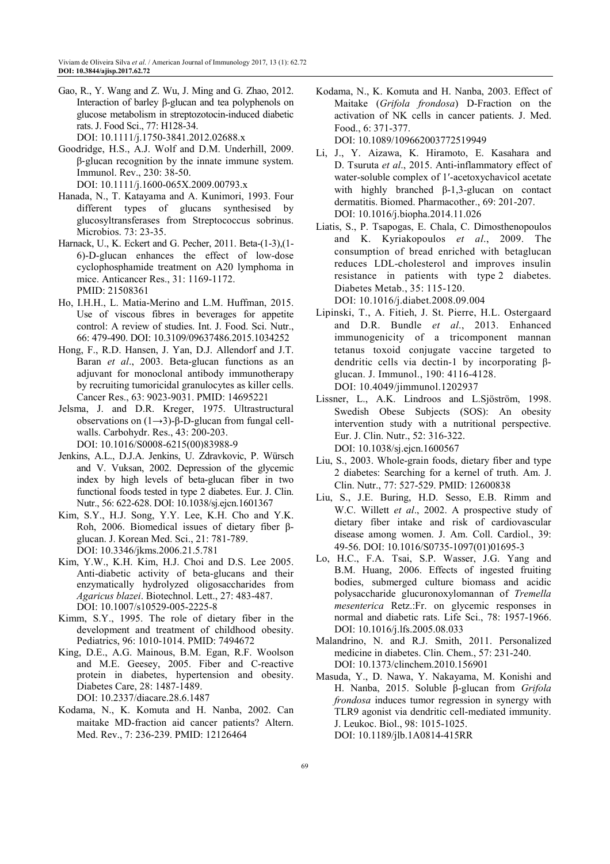Gao, R., Y. Wang and Z. Wu, J. Ming and G. Zhao, 2012. Interaction of barley β-glucan and tea polyphenols on glucose metabolism in streptozotocin-induced diabetic rats. J. Food Sci., 77: H128-34.

DOI: 10.1111/j.1750-3841.2012.02688.x

- Goodridge, H.S., A.J. Wolf and D.M. Underhill, 2009. β‐glucan recognition by the innate immune system. Immunol. Rev., 230: 38-50. DOI: 10.1111/j.1600-065X.2009.00793.x
- Hanada, N., T. Katayama and A. Kunimori, 1993. Four different types of glucans synthesised by glucosyltransferases from Streptococcus sobrinus. Microbios. 73: 23-35.
- Harnack, U., K. Eckert and G. Pecher, 2011. Beta-(1-3),(1- 6)-D-glucan enhances the effect of low-dose cyclophosphamide treatment on A20 lymphoma in mice. Anticancer Res., 31: 1169-1172. PMID: 21508361
- Ho, I.H.H., L. Matia-Merino and L.M. Huffman, 2015. Use of viscous fibres in beverages for appetite control: A review of studies. Int. J. Food. Sci. Nutr., 66: 479-490. DOI: 10.3109/09637486.2015.1034252
- Hong, F., R.D. Hansen, J. Yan, D.J. Allendorf and J.T. Baran *et al*., 2003. Beta-glucan functions as an adjuvant for monoclonal antibody immunotherapy by recruiting tumoricidal granulocytes as killer cells. Cancer Res., 63: 9023-9031. PMID: 14695221
- Jelsma, J. and D.R. Kreger, 1975. Ultrastructural observations on (1→3)-β-D-glucan from fungal cellwalls. Carbohydr. Res., 43: 200-203. DOI: 10.1016/S0008-6215(00)83988-9
- Jenkins, A.L., D.J.A. Jenkins, U. Zdravkovic, P. Würsch and V. Vuksan, 2002. Depression of the glycemic index by high levels of beta-glucan fiber in two functional foods tested in type 2 diabetes. Eur. J. Clin. Nutr., 56: 622-628. DOI: 10.1038/sj.ejcn.1601367
- Kim, S.Y., H.J. Song, Y.Y. Lee, K.H. Cho and Y.K. Roh, 2006. Biomedical issues of dietary fiber βglucan. J. Korean Med. Sci., 21: 781-789. DOI: 10.3346/jkms.2006.21.5.781
- Kim, Y.W., K.H. Kim, H.J. Choi and D.S. Lee 2005. Anti-diabetic activity of beta-glucans and their enzymatically hydrolyzed oligosaccharides from *Agaricus blazei*. Biotechnol. Lett., 27: 483-487. DOI: 10.1007/s10529-005-2225-8
- Kimm, S.Y., 1995. The role of dietary fiber in the development and treatment of childhood obesity. Pediatrics, 96: 1010-1014. PMID: 7494672
- King, D.E., A.G. Mainous, B.M. Egan, R.F. Woolson and M.E. Geesey, 2005. Fiber and C-reactive protein in diabetes, hypertension and obesity. Diabetes Care, 28: 1487-1489. DOI: 10.2337/diacare.28.6.1487
- Kodama, N., K. Komuta and H. Nanba, 2002. Can maitake MD-fraction aid cancer patients? Altern. Med. Rev., 7: 236-239. PMID: 12126464
- Kodama, N., K. Komuta and H. Nanba, 2003. Effect of Maitake (*Grifola frondosa*) D-Fraction on the activation of NK cells in cancer patients. J. Med. Food., 6: 371-377. DOI: 10.1089/109662003772519949
- Li, J., Y. Aizawa, K. Hiramoto, E. Kasahara and D. Tsuruta *et al*., 2015. Anti-inflammatory effect of water-soluble complex of 1′-acetoxychavicol acetate with highly branched β-1,3-glucan on contact dermatitis. Biomed. Pharmacother., 69: 201-207. DOI: 10.1016/j.biopha.2014.11.026
- Liatis, S., P. Tsapogas, E. Chala, C. Dimosthenopoulos and K. Kyriakopoulos *et al*., 2009. The consumption of bread enriched with betaglucan reduces LDL-cholesterol and improves insulin resistance in patients with type 2 diabetes. Diabetes Metab., 35: 115-120. DOI: 10.1016/j.diabet.2008.09.004
- Lipinski, T., A. Fitieh, J. St. Pierre, H.L. Ostergaard and D.R. Bundle *et al*., 2013. Enhanced immunogenicity of a tricomponent mannan tetanus toxoid conjugate vaccine targeted to dendritic cells via dectin-1 by incorporating βglucan. J. Immunol., 190: 4116-4128. DOI: 10.4049/jimmunol.1202937
- Lissner, L., A.K. Lindroos and L.Sjöström, 1998. Swedish Obese Subjects (SOS): An obesity intervention study with a nutritional perspective. Eur. J. Clin. Nutr., 52: 316-322. DOI: 10.1038/sj.ejcn.1600567
- Liu, S., 2003. Whole-grain foods, dietary fiber and type 2 diabetes: Searching for a kernel of truth. Am. J. Clin. Nutr., 77: 527-529. PMID: 12600838
- Liu, S., J.E. Buring, H.D. Sesso, E.B. Rimm and W.C. Willett *et al*., 2002. A prospective study of dietary fiber intake and risk of cardiovascular disease among women. J. Am. Coll. Cardiol., 39: 49-56. DOI: 10.1016/S0735-1097(01)01695-3
- Lo, H.C., F.A. Tsai, S.P. Wasser, J.G. Yang and B.M. Huang, 2006. Effects of ingested fruiting bodies, submerged culture biomass and acidic polysaccharide glucuronoxylomannan of *Tremella mesenterica* Retz.:Fr. on glycemic responses in normal and diabetic rats. Life Sci., 78: 1957-1966. DOI: 10.1016/j.lfs.2005.08.033
- Malandrino, N. and R.J. Smith, 2011. Personalized medicine in diabetes. Clin. Chem., 57: 231-240. DOI: 10.1373/clinchem.2010.156901
- Masuda, Y., D. Nawa, Y. Nakayama, M. Konishi and H. Nanba, 2015. Soluble β-glucan from *Grifola frondosa* induces tumor regression in synergy with TLR9 agonist via dendritic cell-mediated immunity. J. Leukoc. Biol., 98: 1015-1025. DOI: 10.1189/jlb.1A0814-415RR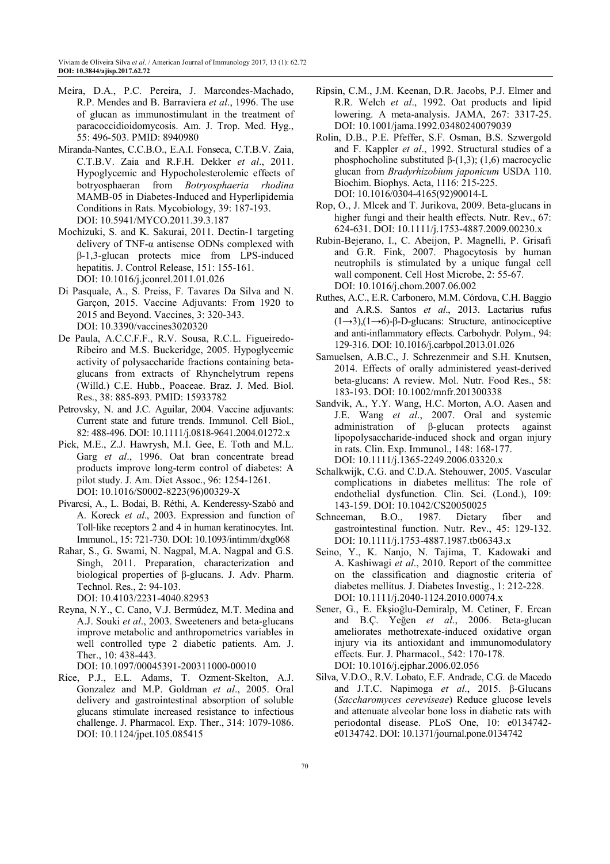- Meira, D.A., P.C. Pereira, J. Marcondes-Machado, R.P. Mendes and B. Barraviera *et al*., 1996. The use of glucan as immunostimulant in the treatment of paracoccidioidomycosis. Am. J. Trop. Med. Hyg., 55: 496-503. PMID: 8940980
- Miranda-Nantes, C.C.B.O., E.A.I. Fonseca, C.T.B.V. Zaia, C.T.B.V. Zaia and R.F.H. Dekker *et al*., 2011. Hypoglycemic and Hypocholesterolemic effects of botryosphaeran from *Botryosphaeria rhodina* MAMB-05 in Diabetes-Induced and Hyperlipidemia Conditions in Rats. Mycobiology, 39: 187-193. DOI: 10.5941/MYCO.2011.39.3.187
- Mochizuki, S. and K. Sakurai, 2011. Dectin-1 targeting delivery of TNF-α antisense ODNs complexed with β-1,3-glucan protects mice from LPS-induced hepatitis. J. Control Release, 151: 155-161. DOI: 10.1016/j.jconrel.2011.01.026
- Di Pasquale, A., S. Preiss, F. Tavares Da Silva and N. Garçon, 2015. Vaccine Adjuvants: From 1920 to 2015 and Beyond. Vaccines, 3: 320-343. DOI: 10.3390/vaccines3020320
- De Paula, A.C.C.F.F., R.V. Sousa, R.C.L. Figueiredo-Ribeiro and M.S. Buckeridge, 2005. Hypoglycemic activity of polysaccharide fractions containing betaglucans from extracts of Rhynchelytrum repens (Willd.) C.E. Hubb., Poaceae. Braz. J. Med. Biol. Res., 38: 885-893. PMID: 15933782
- Petrovsky, N. and J.C. Aguilar, 2004. Vaccine adjuvants: Current state and future trends. Immunol. Cell Biol., 82: 488-496. DOI: 10.1111/j.0818-9641.2004.01272.x
- Pick, M.E., Z.J. Hawrysh, M.I. Gee, E. Toth and M.L. Garg *et al*., 1996. Oat bran concentrate bread products improve long-term control of diabetes: A pilot study. J. Am. Diet Assoc., 96: 1254-1261. DOI: 10.1016/S0002-8223(96)00329-X
- Pivarcsi, A., L. Bodai, B. Réthi, A. Kenderessy‐Szabó and A. Koreck *et al*., 2003. Expression and function of Toll-like receptors 2 and 4 in human keratinocytes. Int. Immunol., 15: 721-730. DOI: 10.1093/intimm/dxg068
- Rahar, S., G. Swami, N. Nagpal, M.A. Nagpal and G.S. Singh, 2011. Preparation, characterization and biological properties of β-glucans. J. Adv. Pharm. Technol. Res., 2: 94-103.

DOI: 10.4103/2231-4040.82953

Reyna, N.Y., C. Cano, V.J. Bermúdez, M.T. Medina and A.J. Souki *et al*., 2003. Sweeteners and beta-glucans improve metabolic and anthropometrics variables in well controlled type 2 diabetic patients. Am. J. Ther., 10: 438-443.

DOI: 10.1097/00045391-200311000-00010

Rice, P.J., E.L. Adams, T. Ozment-Skelton, A.J. Gonzalez and M.P. Goldman *et al*., 2005. Oral delivery and gastrointestinal absorption of soluble glucans stimulate increased resistance to infectious challenge. J. Pharmacol. Exp. Ther., 314: 1079-1086. DOI: 10.1124/jpet.105.085415

- Ripsin, C.M., J.M. Keenan, D.R. Jacobs, P.J. Elmer and R.R. Welch *et al*., 1992. Oat products and lipid lowering. A meta-analysis. JAMA, 267: 3317-25. DOI: 10.1001/jama.1992.03480240079039
- Rolin, D.B., P.E. Pfeffer, S.F. Osman, B.S. Szwergold and F. Kappler *et al*., 1992. Structural studies of a phosphocholine substituted  $β-(1,3)$ ; (1,6) macrocyclic glucan from *Bradyrhizobium japonicum* USDA 110. Biochim. Biophys. Acta, 1116: 215-225. DOI: 10.1016/0304-4165(92)90014-L
- Rop, O., J. Mlcek and T. Jurikova, 2009. Beta-glucans in higher fungi and their health effects. Nutr. Rev., 67: 624-631. DOI: 10.1111/j.1753-4887.2009.00230.x
- Rubin-Bejerano, I., C. Abeijon, P. Magnelli, P. Grisafi and G.R. Fink, 2007. Phagocytosis by human neutrophils is stimulated by a unique fungal cell wall component. Cell Host Microbe, 2: 55-67. DOI: 10.1016/j.chom.2007.06.002
- Ruthes, A.C., E.R. Carbonero, M.M. Córdova, C.H. Baggio and A.R.S. Santos *et al*., 2013. Lactarius rufus (1→3),(1→6)-β-D-glucans: Structure, antinociceptive and anti-inflammatory effects. Carbohydr. Polym., 94: 129-316. DOI: 10.1016/j.carbpol.2013.01.026
- Samuelsen, A.B.C., J. Schrezenmeir and S.H. Knutsen, 2014. Effects of orally administered yeast-derived beta-glucans: A review. Mol. Nutr. Food Res., 58: 183-193. DOI: 10.1002/mnfr.201300338
- Sandvik, A., Y.Y. Wang, H.C. Morton, A.O. Aasen and J.E. Wang *et al*., 2007. Oral and systemic administration of β-glucan protects against lipopolysaccharide-induced shock and organ injury in rats. Clin. Exp. Immunol., 148: 168-177. DOI: 10.1111/j.1365-2249.2006.03320.x
- Schalkwijk, C.G. and C.D.A. Stehouwer, 2005. Vascular complications in diabetes mellitus: The role of endothelial dysfunction. Clin. Sci. (Lond.), 109: 143-159. DOI: 10.1042/CS20050025
- Schneeman, B.O., 1987. Dietary fiber and gastrointestinal function. Nutr. Rev., 45: 129-132. DOI: 10.1111/j.1753-4887.1987.tb06343.x
- Seino, Y., K. Nanjo, N. Tajima, T. Kadowaki and A. Kashiwagi *et al*., 2010. Report of the committee on the classification and diagnostic criteria of diabetes mellitus. J. Diabetes Investig., 1: 212-228. DOI: 10.1111/j.2040-1124.2010.00074.x
- Sener, G., E. Ekşioğlu-Demiralp, M. Cetiner, F. Ercan and B.Ç. Yeğen *et al*., 2006. Beta-glucan ameliorates methotrexate-induced oxidative organ injury via its antioxidant and immunomodulatory effects. Eur. J. Pharmacol., 542: 170-178. DOI: 10.1016/j.ejphar.2006.02.056
- Silva, V.D.O., R.V. Lobato, E.F. Andrade, C.G. de Macedo and J.T.C. Napimoga *et al*., 2015. β-Glucans (*Saccharomyces cereviseae*) Reduce glucose levels and attenuate alveolar bone loss in diabetic rats with periodontal disease. PLoS One, 10: e0134742 e0134742. DOI: 10.1371/journal.pone.0134742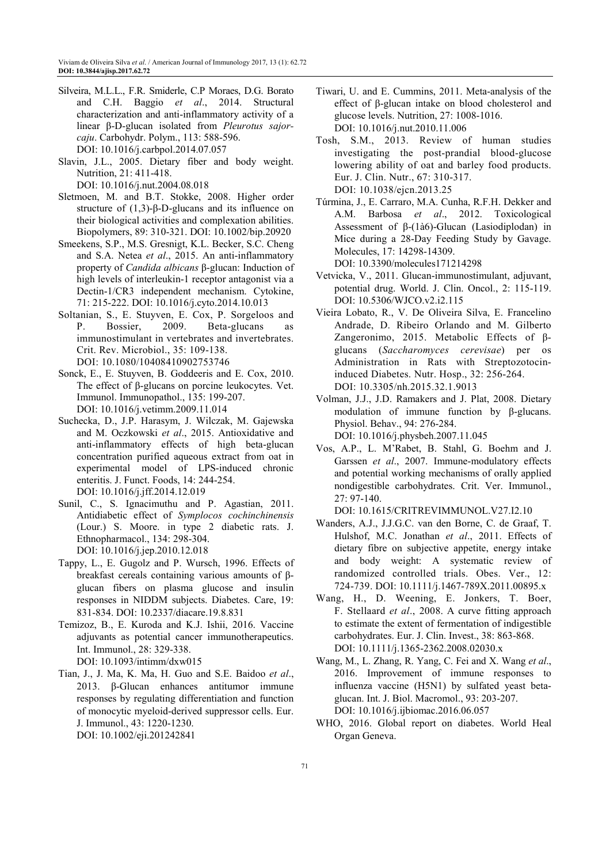- Silveira, M.L.L., F.R. Smiderle, C.P Moraes, D.G. Borato and C.H. Baggio *et al*., 2014. Structural characterization and anti-inflammatory activity of a linear β-D-glucan isolated from *Pleurotus sajorcaju*. Carbohydr. Polym., 113: 588-596. DOI: 10.1016/j.carbpol.2014.07.057
- Slavin, J.L., 2005. Dietary fiber and body weight. Nutrition, 21: 411-418.

DOI: 10.1016/j.nut.2004.08.018

- Sletmoen, M. and B.T. Stokke, 2008. Higher order structure of  $(1,3)$ -β-D-glucans and its influence on their biological activities and complexation abilities. Biopolymers, 89: 310-321. DOI: 10.1002/bip.20920
- Smeekens, S.P., M.S. Gresnigt, K.L. Becker, S.C. Cheng and S.A. Netea *et al*., 2015. An anti-inflammatory property of *Candida albicans* β-glucan: Induction of high levels of interleukin-1 receptor antagonist via a Dectin-1/CR3 independent mechanism. Cytokine, 71: 215-222. DOI: 10.1016/j.cyto.2014.10.013
- Soltanian, S., E. Stuyven, E. Cox, P. Sorgeloos and P. Bossier, 2009. Beta-glucans as immunostimulant in vertebrates and invertebrates. Crit. Rev. Microbiol., 35: 109-138. DOI: 10.1080/10408410902753746
- Sonck, E., E. Stuyven, B. Goddeeris and E. Cox, 2010. The effect of β-glucans on porcine leukocytes. Vet. Immunol. Immunopathol., 135: 199-207. DOI: 10.1016/j.vetimm.2009.11.014
- Suchecka, D., J.P. Harasym, J. Wilczak, M. Gajewska and M. Oczkowski *et al*., 2015. Antioxidative and anti-inflammatory effects of high beta-glucan concentration purified aqueous extract from oat in experimental model of LPS-induced chronic enteritis. J. Funct. Foods, 14: 244-254. DOI: 10.1016/j.jff.2014.12.019
- Sunil, C., S. Ignacimuthu and P. Agastian, 2011. Antidiabetic effect of *Symplocos cochinchinensis* (Lour.) S. Moore. in type 2 diabetic rats. J. Ethnopharmacol., 134: 298-304. DOI: 10.1016/j.jep.2010.12.018
- Tappy, L., E. Gugolz and P. Wursch, 1996. Effects of breakfast cereals containing various amounts of βglucan fibers on plasma glucose and insulin responses in NIDDM subjects. Diabetes. Care, 19: 831-834. DOI: 10.2337/diacare.19.8.831
- Temizoz, B., E. Kuroda and K.J. Ishii, 2016. Vaccine adjuvants as potential cancer immunotherapeutics. Int. Immunol., 28: 329-338. DOI: 10.1093/intimm/dxw015
- Tian, J., J. Ma, K. Ma, H. Guo and S.E. Baidoo *et al*., 2013. β-Glucan enhances antitumor immune responses by regulating differentiation and function of monocytic myeloid-derived suppressor cells. Eur. J. Immunol., 43: 1220-1230.
	- DOI: 10.1002/eji.201242841
- Tiwari, U. and E. Cummins, 2011. Meta-analysis of the effect of β-glucan intake on blood cholesterol and glucose levels. Nutrition, 27: 1008-1016. DOI: 10.1016/j.nut.2010.11.006
- Tosh, S.M., 2013. Review of human studies investigating the post-prandial blood-glucose lowering ability of oat and barley food products. Eur. J. Clin. Nutr., 67: 310-317. DOI: 10.1038/ejcn.2013.25
- Túrmina, J., E. Carraro, M.A. Cunha, R.F.H. Dekker and A.M. Barbosa *et al*., 2012. Toxicological Assessment of β-(1à6)-Glucan (Lasiodiplodan) in Mice during a 28-Day Feeding Study by Gavage. Molecules, 17: 14298-14309. DOI: 10.3390/molecules171214298
- Vetvicka, V., 2011. Glucan-immunostimulant, adjuvant, potential drug. World. J. Clin. Oncol., 2: 115-119. DOI: 10.5306/WJCO.v2.i2.115
- Vieira Lobato, R., V. De Oliveira Silva, E. Francelino Andrade, D. Ribeiro Orlando and M. Gilberto Zangeronimo, 2015. Metabolic Effects of βglucans (*Saccharomyces cerevisae*) per os Administration in Rats with Streptozotocininduced Diabetes. Nutr. Hosp., 32: 256-264. DOI: 10.3305/nh.2015.32.1.9013
- Volman, J.J., J.D. Ramakers and J. Plat, 2008. Dietary modulation of immune function by β-glucans. Physiol. Behav., 94: 276-284. DOI: 10.1016/j.physbeh.2007.11.045
- Vos, A.P., L. M'Rabet, B. Stahl, G. Boehm and J. Garssen *et al*., 2007. Immune-modulatory effects and potential working mechanisms of orally applied nondigestible carbohydrates. Crit. Ver. Immunol., 27: 97-140.

DOI: 10.1615/CRITREVIMMUNOL.V27.I2.10

- Wanders, A.J., J.J.G.C. van den Borne, C. de Graaf, T. Hulshof, M.C. Jonathan *et al*., 2011. Effects of dietary fibre on subjective appetite, energy intake and body weight: A systematic review of randomized controlled trials. Obes. Ver., 12: 724-739. DOI: 10.1111/j.1467-789X.2011.00895.x
- Wang, H., D. Weening, E. Jonkers, T. Boer, F. Stellaard *et al*., 2008. A curve fitting approach to estimate the extent of fermentation of indigestible carbohydrates. Eur. J. Clin. Invest., 38: 863-868. DOI: 10.1111/j.1365-2362.2008.02030.x
- Wang, M., L. Zhang, R. Yang, C. Fei and X. Wang *et al*., 2016. Improvement of immune responses to influenza vaccine (H5N1) by sulfated yeast betaglucan. Int. J. Biol. Macromol., 93: 203-207. DOI: 10.1016/j.ijbiomac.2016.06.057
- WHO, 2016. Global report on diabetes. World Heal Organ Geneva.